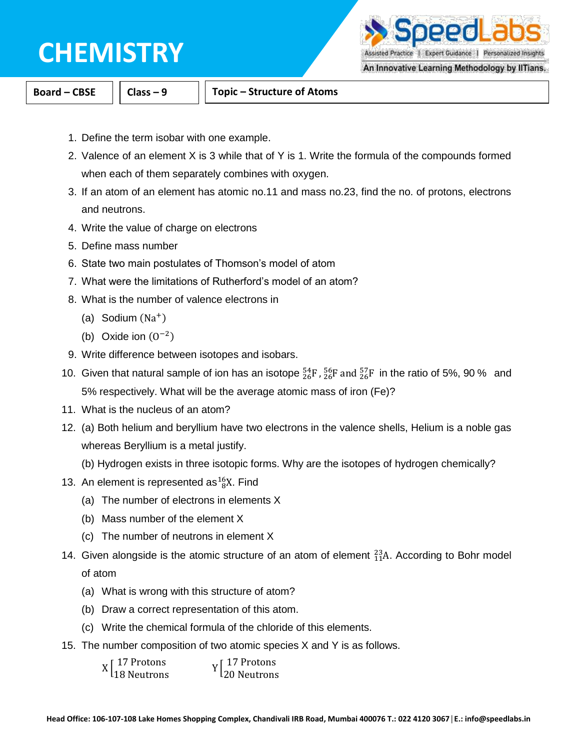peedLa

Assisted Practice | Expert Guidance | Personalized Insights

An Innovative Learning Methodology by IITians.

**Board – CBSE Class – 9 Topic – Structure of Atoms**

- 1. Define the term isobar with one example.
- 2. Valence of an element X is 3 while that of Y is 1. Write the formula of the compounds formed when each of them separately combines with oxygen.
- 3. If an atom of an element has atomic no.11 and mass no.23, find the no. of protons, electrons and neutrons.
- 4. Write the value of charge on electrons
- 5. Define mass number
- 6. State two main postulates of Thomson's model of atom
- 7. What were the limitations of Rutherford's model of an atom?
- 8. What is the number of valence electrons in
	- (a) Sodium (Na<sup>+</sup>)
	- (b) Oxide ion  $(0^{-2})$
- 9. Write difference between isotopes and isobars.
- 10. Given that natural sample of ion has an isotope  ${}^{54}_{26}F$ ,  ${}^{56}_{26}F$  and  ${}^{57}_{26}F$  in the ratio of 5%, 90 % and 5% respectively. What will be the average atomic mass of iron (Fe)?
- 11. What is the nucleus of an atom?
- 12. (a) Both helium and beryllium have two electrons in the valence shells, Helium is a noble gas whereas Beryllium is a metal justify.
	- (b) Hydrogen exists in three isotopic forms. Why are the isotopes of hydrogen chemically?
- 13. An element is represented as $^{16}_{8}X$ . Find
	- (a) The number of electrons in elements X
	- (b) Mass number of the element X
	- (c) The number of neutrons in element X
- 14. Given alongside is the atomic structure of an atom of element  $^{23}_{11}$ A. According to Bohr model of atom
	- (a) What is wrong with this structure of atom?
	- (b) Draw a correct representation of this atom.
	- (c) Write the chemical formula of the chloride of this elements.
- 15. The number composition of two atomic species X and Y is as follows.

| $X\begin{bmatrix} 17 \text{ Protons} \\ 18 \text{ Neutrons} \end{bmatrix}$ | $Y\begin{bmatrix} 17 \text{ Protons} \\ 20 \text{ Neutrons} \end{bmatrix}$ |
|----------------------------------------------------------------------------|----------------------------------------------------------------------------|
|                                                                            |                                                                            |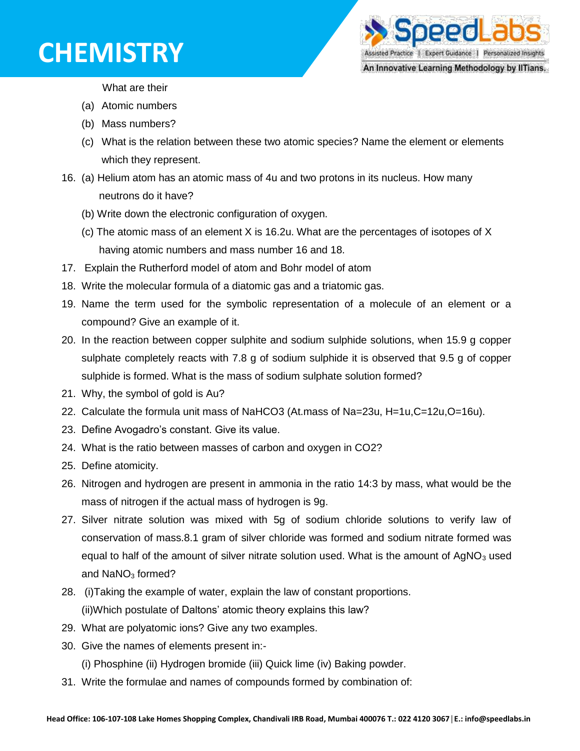

What are their

- (a) Atomic numbers
- (b) Mass numbers?
- (c) What is the relation between these two atomic species? Name the element or elements which they represent.
- 16. (a) Helium atom has an atomic mass of 4u and two protons in its nucleus. How many neutrons do it have?
	- (b) Write down the electronic configuration of oxygen.
	- (c) The atomic mass of an element X is 16.2u. What are the percentages of isotopes of X having atomic numbers and mass number 16 and 18.
- 17. Explain the Rutherford model of atom and Bohr model of atom
- 18. Write the molecular formula of a diatomic gas and a triatomic gas.
- 19. Name the term used for the symbolic representation of a molecule of an element or a compound? Give an example of it.
- 20. In the reaction between copper sulphite and sodium sulphide solutions, when 15.9 g copper sulphate completely reacts with 7.8 g of sodium sulphide it is observed that 9.5 g of copper sulphide is formed. What is the mass of sodium sulphate solution formed?
- 21. Why, the symbol of gold is Au?
- 22. Calculate the formula unit mass of NaHCO3 (At.mass of Na=23u, H=1u,C=12u,O=16u).
- 23. Define Avogadro's constant. Give its value.
- 24. What is the ratio between masses of carbon and oxygen in CO2?
- 25. Define atomicity.
- 26. Nitrogen and hydrogen are present in ammonia in the ratio 14:3 by mass, what would be the mass of nitrogen if the actual mass of hydrogen is 9g.
- 27. Silver nitrate solution was mixed with 5g of sodium chloride solutions to verify law of conservation of mass.8.1 gram of silver chloride was formed and sodium nitrate formed was equal to half of the amount of silver nitrate solution used. What is the amount of  $AgNO<sub>3</sub>$  used and  $NaNO<sub>3</sub>$  formed?
- 28. (i)Taking the example of water, explain the law of constant proportions. (ii)Which postulate of Daltons' atomic theory explains this law?
- 29. What are polyatomic ions? Give any two examples.
- 30. Give the names of elements present in:-
	- (i) Phosphine (ii) Hydrogen bromide (iii) Quick lime (iv) Baking powder.
- 31. Write the formulae and names of compounds formed by combination of: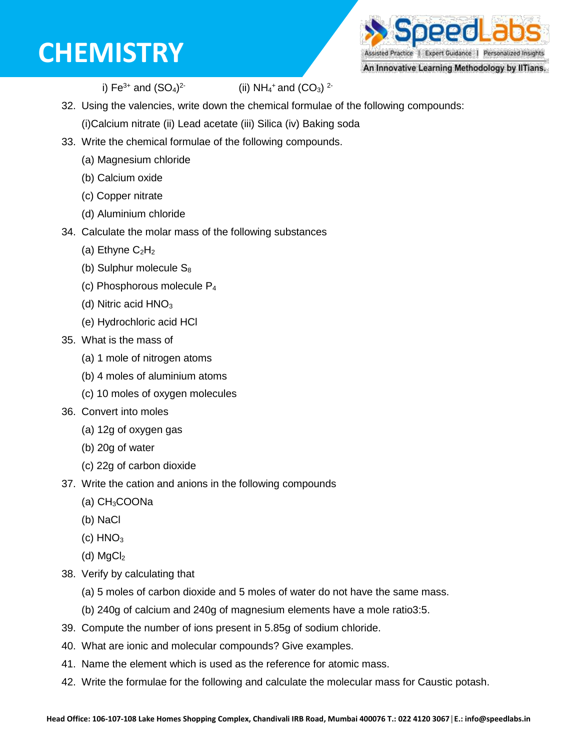peed al Assisted Practice | Expert Guidance | Personalized Insights

An Innovative Learning Methodology by IITians.

i) Fe $3+$  and  $(SO<sub>4</sub>)<sup>2</sup>$ 

(ii)  $NH_4$ <sup>+</sup> and (CO<sub>3</sub>)<sup>2-</sup>

32. Using the valencies, write down the chemical formulae of the following compounds:

(i)Calcium nitrate (ii) Lead acetate (iii) Silica (iv) Baking soda

- 33. Write the chemical formulae of the following compounds.
	- (a) Magnesium chloride
	- (b) Calcium oxide
	- (c) Copper nitrate
	- (d) Aluminium chloride
- 34. Calculate the molar mass of the following substances
	- (a) Ethyne  $C_2H_2$
	- (b) Sulphur molecule  $S_8$
	- (c) Phosphorous molecule P<sup>4</sup>
	- (d) Nitric acid  $HNO<sub>3</sub>$
	- (e) Hydrochloric acid HCl
- 35. What is the mass of
	- (a) 1 mole of nitrogen atoms
	- (b) 4 moles of aluminium atoms
	- (c) 10 moles of oxygen molecules
- 36. Convert into moles
	- (a) 12g of oxygen gas
	- (b) 20g of water
	- (c) 22g of carbon dioxide
- 37. Write the cation and anions in the following compounds
	- (a) CH3COONa
	- (b) NaCl
	- $(c)$  HNO<sub>3</sub>
	- (d)  $MgCl<sub>2</sub>$
- 38. Verify by calculating that
	- (a) 5 moles of carbon dioxide and 5 moles of water do not have the same mass.
	- (b) 240g of calcium and 240g of magnesium elements have a mole ratio3:5.
- 39. Compute the number of ions present in 5.85g of sodium chloride.
- 40. What are ionic and molecular compounds? Give examples.
- 41. Name the element which is used as the reference for atomic mass.
- 42. Write the formulae for the following and calculate the molecular mass for Caustic potash.